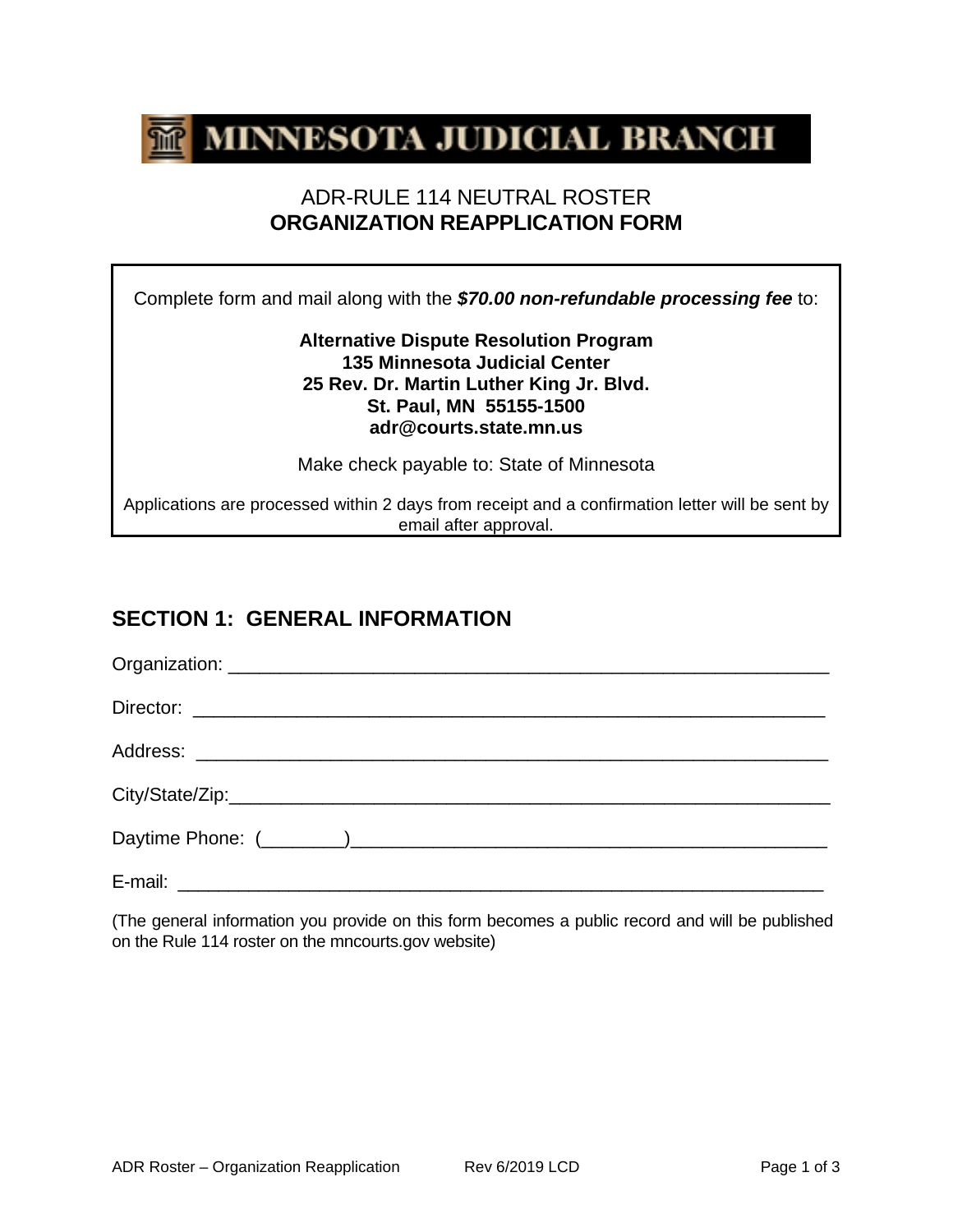

### ADR-RULE 114 NEUTRAL ROSTER **ORGANIZATION REAPPLICATION FORM**

Complete form and mail along with the *\$70.00 non-refundable processing fee* to:

#### **Alternative Dispute Resolution Program 135 Minnesota Judicial Center 25 Rev. Dr. Martin Luther King Jr. Blvd. St. Paul, MN 55155-1500 adr@courts.state.mn.us**

Make check payable to: State of Minnesota

Applications are processed within 2 days from receipt and a confirmation letter will be sent by email after approval.

### **SECTION 1: GENERAL INFORMATION**

(The general information you provide on this form becomes a public record and will be published on the Rule 114 roster on the mncourts.gov website)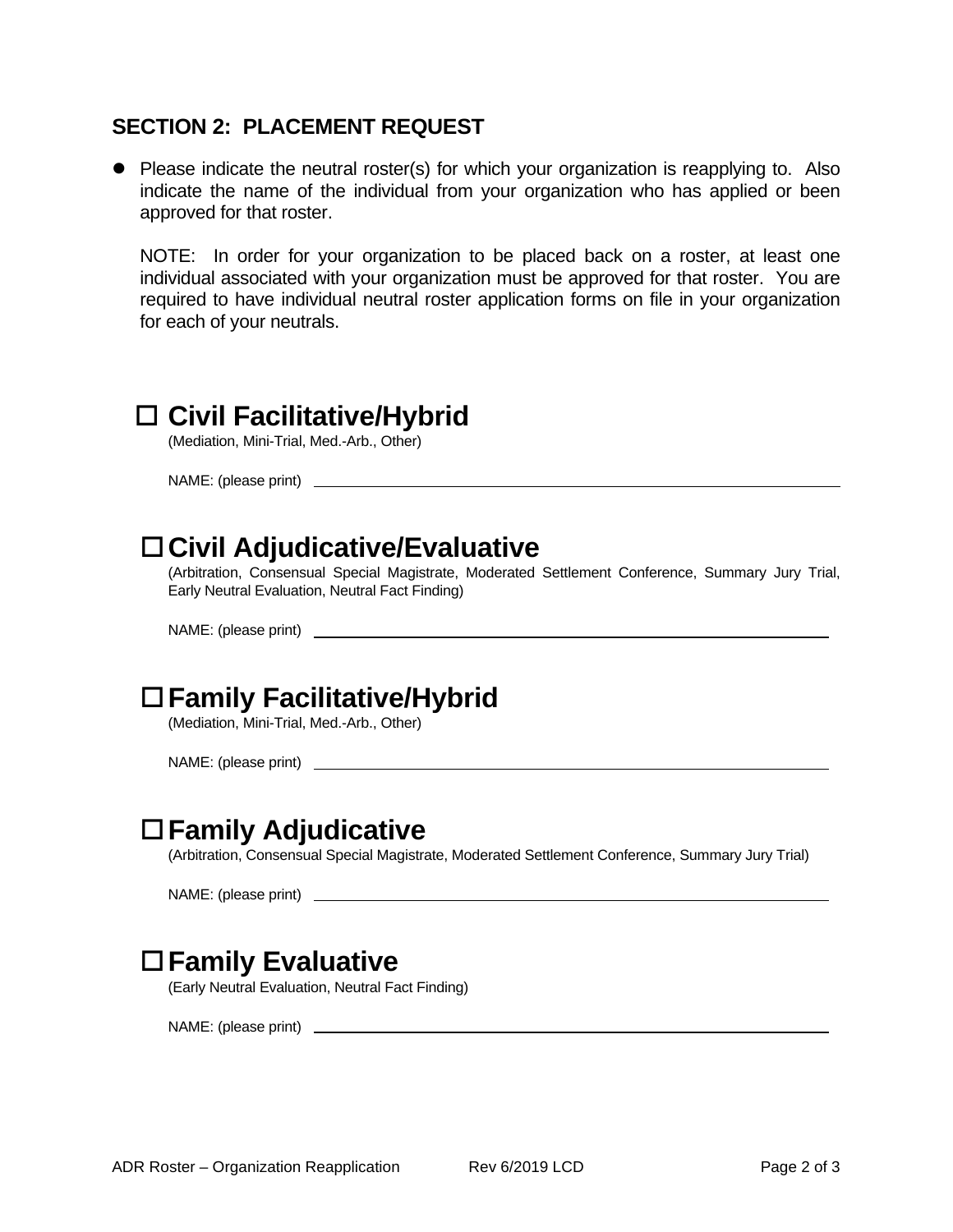#### **SECTION 2: PLACEMENT REQUEST**

• Please indicate the neutral roster(s) for which your organization is reapplying to. Also indicate the name of the individual from your organization who has applied or been approved for that roster.

NOTE: In order for your organization to be placed back on a roster, at least one individual associated with your organization must be approved for that roster. You are required to have individual neutral roster application forms on file in your organization for each of your neutrals.

## **Civil Facilitative/Hybrid**

(Mediation, Mini-Trial, Med.-Arb., Other)

NAME: (please print)

# **Civil Adjudicative/Evaluative**

(Arbitration, Consensual Special Magistrate, Moderated Settlement Conference, Summary Jury Trial, Early Neutral Evaluation, Neutral Fact Finding)

NAME: (please print)

# **Family Facilitative/Hybrid**

(Mediation, Mini-Trial, Med.-Arb., Other)

NAME: (please print)

### **Family Adjudicative**

(Arbitration, Consensual Special Magistrate, Moderated Settlement Conference, Summary Jury Trial)

NAME: (please print)

### **Family Evaluative**

(Early Neutral Evaluation, Neutral Fact Finding)

NAME: (please print)